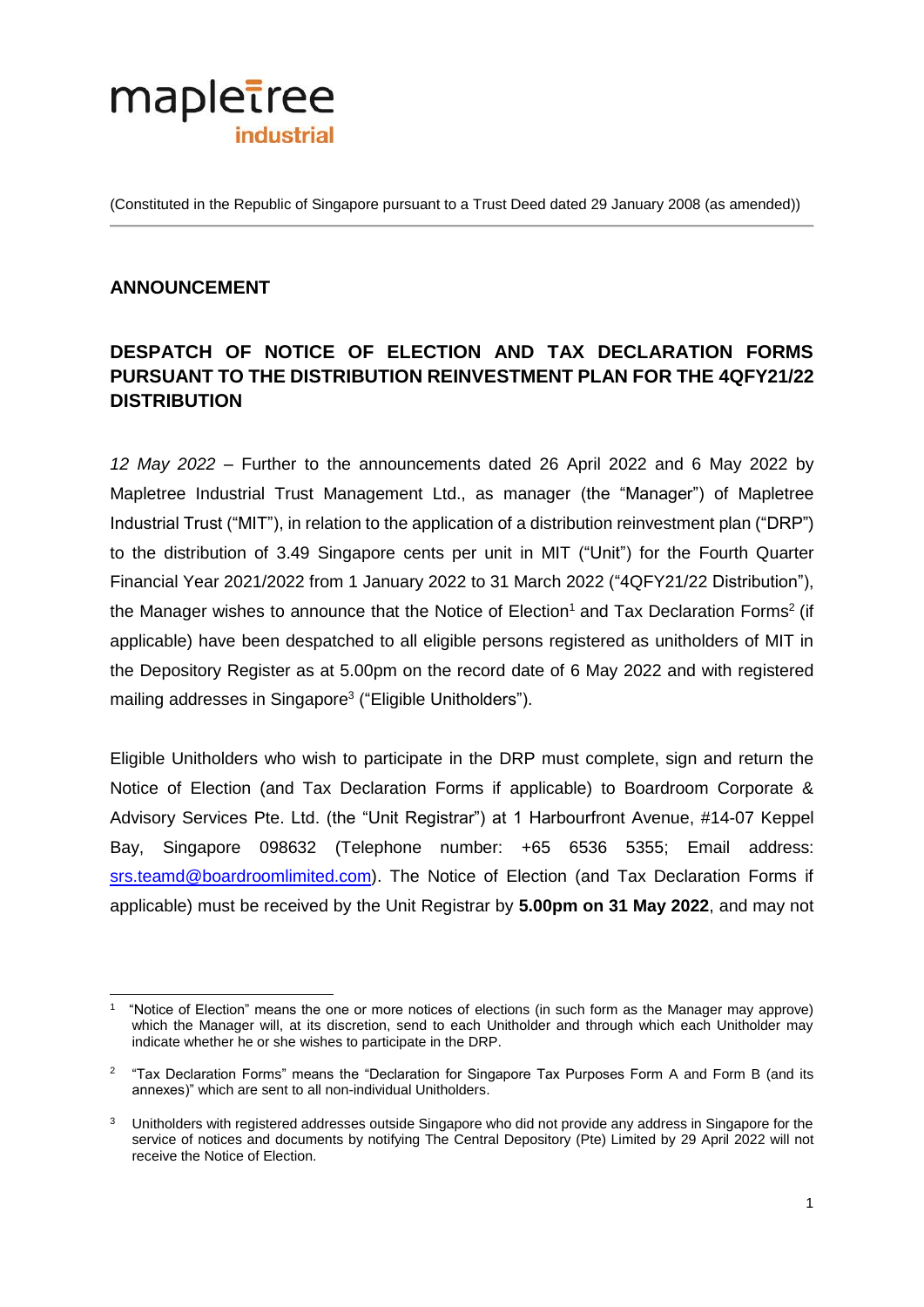

(Constituted in the Republic of Singapore pursuant to a Trust Deed dated 29 January 2008 (as amended))

## **ANNOUNCEMENT**

## **DESPATCH OF NOTICE OF ELECTION AND TAX DECLARATION FORMS PURSUANT TO THE DISTRIBUTION REINVESTMENT PLAN FOR THE 4QFY21/22 DISTRIBUTION**

*12 May 2022* – Further to the announcements dated 26 April 2022 and 6 May 2022 by Mapletree Industrial Trust Management Ltd., as manager (the "Manager") of Mapletree Industrial Trust ("MIT"), in relation to the application of a distribution reinvestment plan ("DRP") to the distribution of 3.49 Singapore cents per unit in MIT ("Unit") for the Fourth Quarter Financial Year 2021/2022 from 1 January 2022 to 31 March 2022 ("4QFY21/22 Distribution"), the Manager wishes to announce that the Notice of Election<sup>1</sup> and Tax Declaration Forms<sup>2</sup> (if applicable) have been despatched to all eligible persons registered as unitholders of MIT in the Depository Register as at 5.00pm on the record date of 6 May 2022 and with registered mailing addresses in Singapore<sup>3</sup> ("Eligible Unitholders").

Eligible Unitholders who wish to participate in the DRP must complete, sign and return the Notice of Election (and Tax Declaration Forms if applicable) to Boardroom Corporate & Advisory Services Pte. Ltd. (the "Unit Registrar") at 1 Harbourfront Avenue, #14-07 Keppel Bay, Singapore 098632 (Telephone number: +65 6536 5355; Email address: [srs.teamd@boardroomlimited.com\)](mailto:srs.teamd@boardroomlimited.com). The Notice of Election (and Tax Declaration Forms if applicable) must be received by the Unit Registrar by **5.00pm on 31 May 2022**, and may not

 $\overline{a}$ 1 "Notice of Election" means the one or more notices of elections (in such form as the Manager may approve) which the Manager will, at its discretion, send to each Unitholder and through which each Unitholder may indicate whether he or she wishes to participate in the DRP.

 $2$  "Tax Declaration Forms" means the "Declaration for Singapore Tax Purposes Form A and Form B (and its annexes)" which are sent to all non-individual Unitholders.

<sup>&</sup>lt;sup>3</sup> Unitholders with registered addresses outside Singapore who did not provide any address in Singapore for the service of notices and documents by notifying The Central Depository (Pte) Limited by 29 April 2022 will not receive the Notice of Election.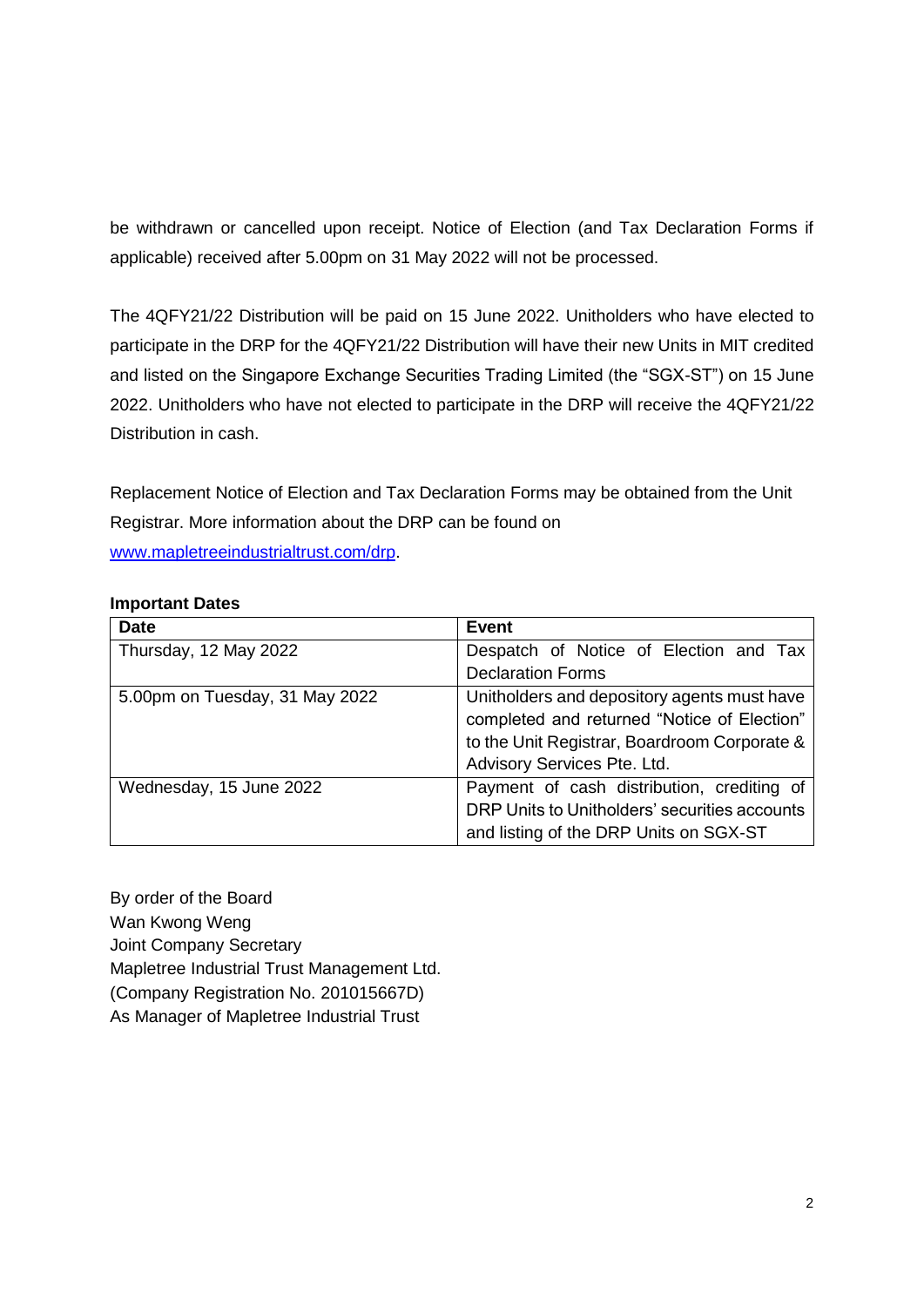be withdrawn or cancelled upon receipt. Notice of Election (and Tax Declaration Forms if applicable) received after 5.00pm on 31 May 2022 will not be processed.

The 4QFY21/22 Distribution will be paid on 15 June 2022. Unitholders who have elected to participate in the DRP for the 4QFY21/22 Distribution will have their new Units in MIT credited and listed on the Singapore Exchange Securities Trading Limited (the "SGX-ST") on 15 June 2022. Unitholders who have not elected to participate in the DRP will receive the 4QFY21/22 Distribution in cash.

Replacement Notice of Election and Tax Declaration Forms may be obtained from the Unit Registrar. More information about the DRP can be found on [www.mapletreeindustrialtrust.com/drp.](http://www.mapletreeindustrialtrust.com/drp)

## **Important Dates**

| <b>Date</b>                    | <b>Event</b>                                  |
|--------------------------------|-----------------------------------------------|
| Thursday, 12 May 2022          | Despatch of Notice of Election and Tax        |
|                                | <b>Declaration Forms</b>                      |
| 5.00pm on Tuesday, 31 May 2022 | Unitholders and depository agents must have   |
|                                | completed and returned "Notice of Election"   |
|                                | to the Unit Registrar, Boardroom Corporate &  |
|                                | Advisory Services Pte. Ltd.                   |
| Wednesday, 15 June 2022        | Payment of cash distribution, crediting of    |
|                                | DRP Units to Unitholders' securities accounts |
|                                | and listing of the DRP Units on SGX-ST        |

By order of the Board Wan Kwong Weng Joint Company Secretary Mapletree Industrial Trust Management Ltd. (Company Registration No. 201015667D) As Manager of Mapletree Industrial Trust